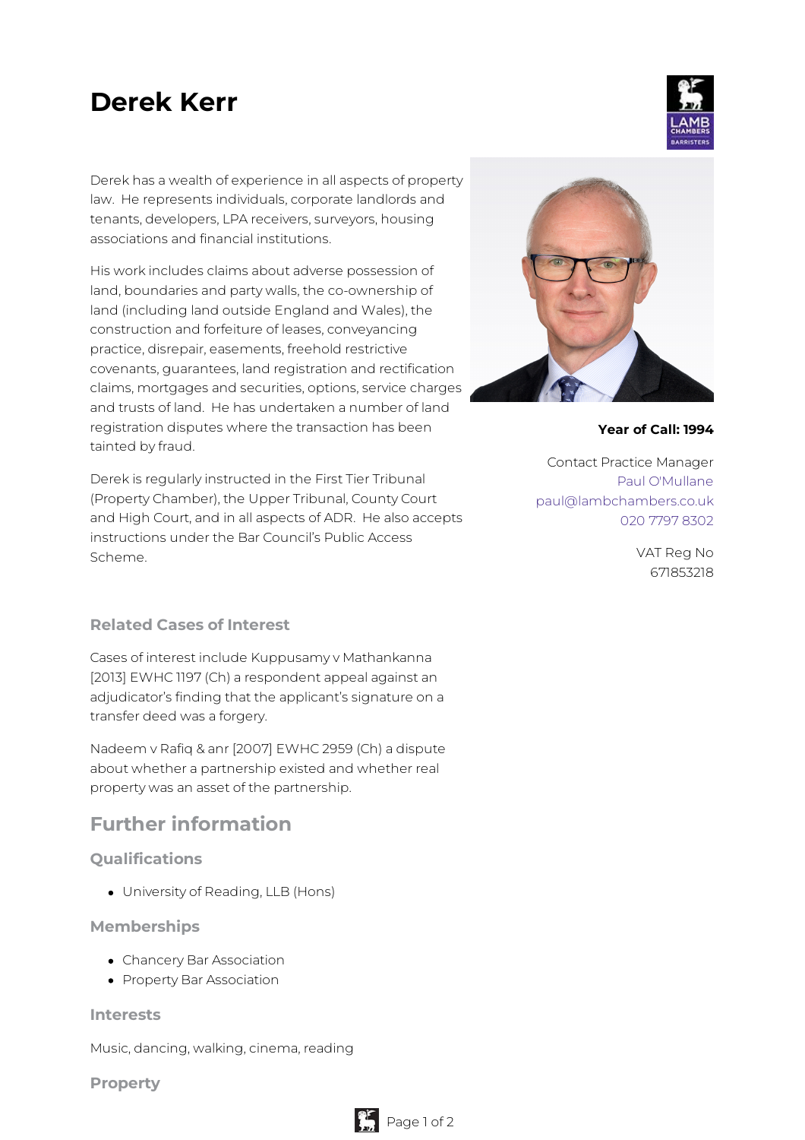# **Derek Kerr**

Derek has a wealth of experience in all aspects of property law. He represents individuals, corporate landlords and tenants, developers, LPA receivers, surveyors, housing associations and financial institutions.

His work includes claims about adverse possession of land, boundaries and party walls, the co-ownership of land (including land outside England and Wales), the construction and forfeiture of leases, conveyancing practice, disrepair, easements, freehold restrictive covenants, guarantees, land registration and rectification claims, mortgages and securities, options, service charges and trusts of land. He has undertaken a number of land registration disputes where the transaction has been tainted by fraud.

Derek is regularly instructed in the First Tier Tribunal (Property Chamber), the Upper Tribunal, County Court and High Court, and in all aspects of ADR. He also accepts instructions under the Bar Council's Public Access Scheme.

#### **Related Cases of Interest**

Cases of interest include Kuppusamy v Mathankanna [2013] EWHC 1197 (Ch) a respondent appeal against an adjudicator's finding that the applicant's signature on a transfer deed was a forgery.

Nadeem v Rafiq & anr [2007] EWHC 2959 (Ch) a dispute about whether a partnership existed and whether real property was an asset of the partnership.

## **Further information**

#### **Qualifications**

University of Reading, LLB (Hons)

#### **Memberships**

- Chancery Bar Association
- Property Bar Association

#### **Interests**

Music, dancing, walking, cinema, reading

**Property**



#### **Year of Call: 1994**

Contact Practice Manager Paul [O'Mullane](mailto:paul@lambchambers.co.uk) [paul@lambchambers.co.uk](mailto:paul@lambchambers.co.uk) 020 7797 [8302](tel:020%207797%208302)

> VAT Reg No 671853218